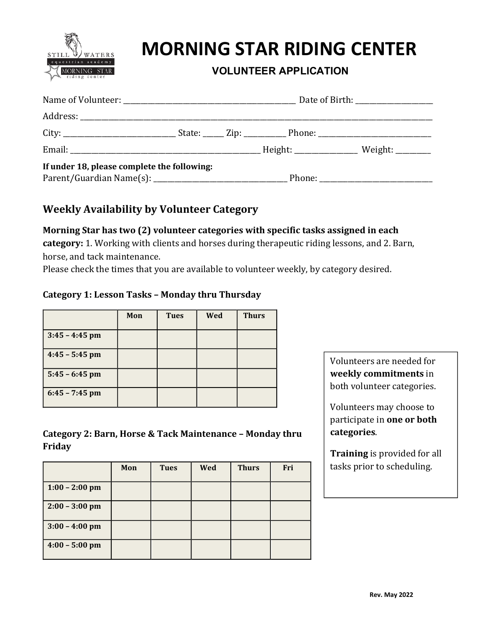

# **MORNING STAR RIDING CENTER**

## **VOLUNTEER APPLICATION**

| If under 18, please complete the following: |  |  |
|---------------------------------------------|--|--|
|                                             |  |  |

### **Weekly Availability by Volunteer Category**

#### **Morning Star has two (2) volunteer categories with specific tasks assigned in each**

category: 1. Working with clients and horses during therapeutic riding lessons, and 2. Barn, horse, and tack maintenance.

Please check the times that you are available to volunteer weekly, by category desired.

#### **Category 1: Lesson Tasks – Monday thru Thursday**

|                  | Mon | <b>Tues</b> | Wed | <b>Thurs</b> |
|------------------|-----|-------------|-----|--------------|
| $3:45 - 4:45$ pm |     |             |     |              |
| $4:45 - 5:45$ pm |     |             |     |              |
| $5:45 - 6:45$ pm |     |             |     |              |
| $6:45 - 7:45$ pm |     |             |     |              |

#### **Category 2: Barn, Horse & Tack Maintenance - Monday thru Friday**

|                  | Mon | <b>Tues</b> | Wed | <b>Thurs</b> | Fri |
|------------------|-----|-------------|-----|--------------|-----|
| $1:00 - 2:00$ pm |     |             |     |              |     |
| $2:00 - 3:00$ pm |     |             |     |              |     |
| $3:00 - 4:00$ pm |     |             |     |              |     |
| $4:00 - 5:00$ pm |     |             |     |              |     |

Volunteers are needed for **weekly commitments** in both volunteer categories.

Volunteers may choose to participate in **one** or both **categories**.

**Training** is provided for all tasks prior to scheduling.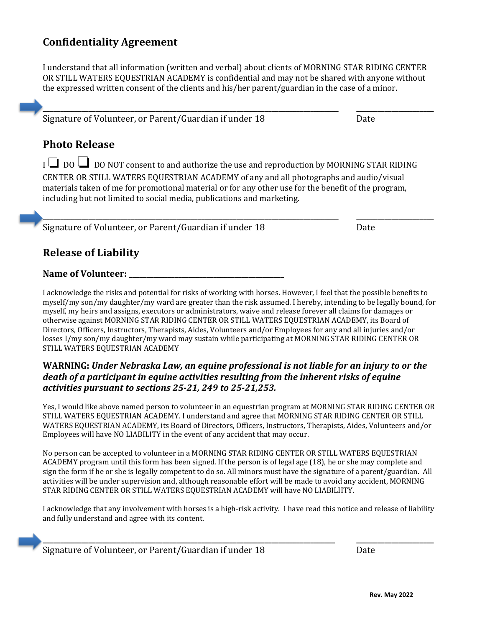# **Confidentiality Agreement**

I understand that all information (written and verbal) about clients of MORNING STAR RIDING CENTER OR STILL WATERS EQUESTRIAN ACADEMY is confidential and may not be shared with anyone without the expressed written consent of the clients and his/her parent/guardian in the case of a minor.

| <b>Photo Release</b> |  |  |
|----------------------|--|--|

<sup>I</sup>❏ DO ❏ DO NOT consent to and authorize the use and reproduction by MORNING STAR RIDING CENTER OR STILL WATERS EQUESTRIAN ACADEMY of any and all photographs and audio/visual materials taken of me for promotional material or for any other use for the benefit of the program, including but not limited to social media, publications and marketing.

Signature of Volunteer, or Parent/Guardian if under 18 The Controllect Mate

| <b>Release of Liability</b> |
|-----------------------------|
|-----------------------------|

**Name of Volunteer: \_\_\_\_\_\_\_\_\_\_\_\_\_\_\_\_\_\_\_\_\_\_\_\_\_\_\_\_\_\_\_\_\_\_\_\_\_\_\_\_\_\_\_\_**

I acknowledge the risks and potential for risks of working with horses. However, I feel that the possible benefits to myself/my son/my daughter/my ward are greater than the risk assumed. I hereby, intending to be legally bound, for myself, my heirs and assigns, executors or administrators, waive and release forever all claims for damages or otherwise against MORNING STAR RIDING CENTER OR STILL WATERS EQUESTRIAN ACADEMY, its Board of Directors, Officers, Instructors, Therapists, Aides, Volunteers and/or Employees for any and all injuries and/or losses I/my son/my daughter/my ward may sustain while participating at MORNING STAR RIDING CENTER OR STILL WATERS EQUESTRIAN ACADEMY

#### WARNING: Under Nebraska Law, an equine professional is not liable for an injury to or the death of a participant in equine activities resulting from the inherent risks of equine *activities pursuant to sections 25-21, 249 to 25-21,253.*

Yes, I would like above named person to volunteer in an equestrian program at MORNING STAR RIDING CENTER OR STILL WATERS EQUESTRIAN ACADEMY. I understand and agree that MORNING STAR RIDING CENTER OR STILL WATERS EQUESTRIAN ACADEMY, its Board of Directors, Officers, Instructors, Therapists, Aides, Volunteers and/or Employees will have NO LIABILITY in the event of any accident that may occur.

No person can be accepted to volunteer in a MORNING STAR RIDING CENTER OR STILL WATERS EQUESTRIAN ACADEMY program until this form has been signed. If the person is of legal age (18), he or she may complete and sign the form if he or she is legally competent to do so. All minors must have the signature of a parent/guardian. All activities will be under supervision and, although reasonable effort will be made to avoid any accident, MORNING STAR RIDING CENTER OR STILL WATERS EQUESTRIAN ACADEMY will have NO LIABILIITY.

I acknowledge that any involvement with horses is a high-risk activity. I have read this notice and release of liability and fully understand and agree with its content.

**\_\_\_\_\_\_\_\_\_\_\_\_\_\_\_\_\_\_\_\_\_\_\_\_\_\_\_\_\_\_\_\_\_\_\_\_\_\_\_\_\_\_\_\_\_\_\_\_\_\_\_\_\_\_\_\_\_\_\_\_\_\_\_\_\_\_\_\_\_\_\_\_\_\_\_\_\_\_\_\_\_\_\_ \_\_\_\_\_\_\_\_\_\_\_\_\_\_\_\_\_\_\_\_\_\_**

**\_\_\_\_\_\_\_\_\_\_\_\_\_\_\_\_\_\_\_\_\_\_\_\_\_\_\_\_\_\_\_\_\_\_\_\_\_\_\_\_\_\_\_\_\_\_\_\_\_\_\_\_\_\_\_\_\_\_\_\_\_\_\_\_\_\_\_\_\_\_\_\_\_\_\_\_\_\_\_\_\_\_\_\_ \_\_\_\_\_\_\_\_\_\_\_\_\_\_\_\_\_\_\_\_\_\_**

**\_\_\_\_\_\_\_\_\_\_\_\_\_\_\_\_\_\_\_\_\_\_\_\_\_\_\_\_\_\_\_\_\_\_\_\_\_\_\_\_\_\_\_\_\_\_\_\_\_\_\_\_\_\_\_\_\_\_\_\_\_\_\_\_\_\_\_\_\_\_\_\_\_\_\_\_\_\_\_\_\_\_\_\_ \_\_\_\_\_\_\_\_\_\_\_\_\_\_\_\_\_\_\_\_\_\_** Signature of Volunteer, or Parent/Guardian if under 18 The Controller of Nate